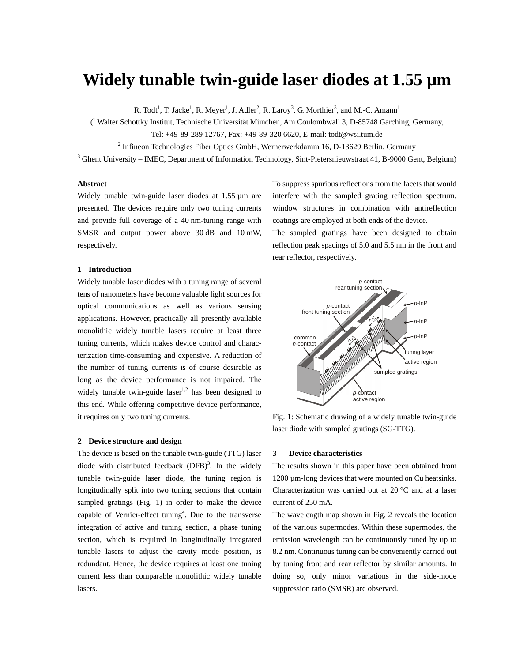# **Widely tunable twin-guide laser diodes at 1.55 µm**

R. Todt<sup>1</sup>, T. Jacke<sup>1</sup>, R. Meyer<sup>1</sup>, J. Adler<sup>2</sup>, R. Laroy<sup>3</sup>, G. Morthier<sup>3</sup>, and M.-C. Amann<sup>1</sup>

( 1 Walter Schottky Institut, Technische Universität München, Am Coulombwall 3, D-85748 Garching, Germany,

Tel: +49-89-289 12767, Fax: +49-89-320 6620, E-mail: todt@wsi.tum.de

 $2^{2}$  Infineon Technologies Fiber Optics GmbH, Wernerwerkdamm 16, D-13629 Berlin, Germany

 $3$  Ghent University – IMEC, Department of Information Technology, Sint-Pietersnieuwstraat 41, B-9000 Gent, Belgium)

## **Abstract**

Widely tunable twin-guide laser diodes at 1.55  $\mu$ m are presented. The devices require only two tuning currents and provide full coverage of a 40 nm-tuning range with SMSR and output power above 30 dB and 10 mW, respectively.

## **1 Introduction**

Widely tunable laser diodes with a tuning range of several tens of nanometers have become valuable light sources for optical communications as well as various sensing applications. However, practically all presently available monolithic widely tunable lasers require at least three tuning currents, which makes device control and characterization time-consuming and expensive. A reduction of the number of tuning currents is of course desirable as long as the device performance is not impaired. The widely tunable twin-guide laser<sup>1,2</sup> has been designed to this end. While offering competitive device performance, it requires only two tuning currents.

## **2 Device structure and design**

The device is based on the tunable twin-guide (TTG) laser diode with distributed feedback  $(DFB)^3$ . In the widely tunable twin-guide laser diode, the tuning region is longitudinally split into two tuning sections that contain sampled gratings (Fig. 1) in order to make the device capable of Vernier-effect tuning<sup>4</sup>. Due to the transverse integration of active and tuning section, a phase tuning section, which is required in longitudinally integrated tunable lasers to adjust the cavity mode position, is redundant. Hence, the device requires at least one tuning current less than comparable monolithic widely tunable lasers.

To suppress spurious reflections from the facets that would interfere with the sampled grating reflection spectrum, window structures in combination with antireflection coatings are employed at both ends of the device. The sampled gratings have been designed to obtain

reflection peak spacings of 5.0 and 5.5 nm in the front and rear reflector, respectively.



Fig. 1: Schematic drawing of a widely tunable twin-guide laser diode with sampled gratings (SG-TTG).

### **3 Device characteristics**

The results shown in this paper have been obtained from 1200 µm-long devices that were mounted on Cu heatsinks. Characterization was carried out at 20 °C and at a laser current of 250 mA.

The wavelength map shown in Fig. 2 reveals the location of the various supermodes. Within these supermodes, the emission wavelength can be continuously tuned by up to 8.2 nm. Continuous tuning can be conveniently carried out by tuning front and rear reflector by similar amounts. In doing so, only minor variations in the side-mode suppression ratio (SMSR) are observed.